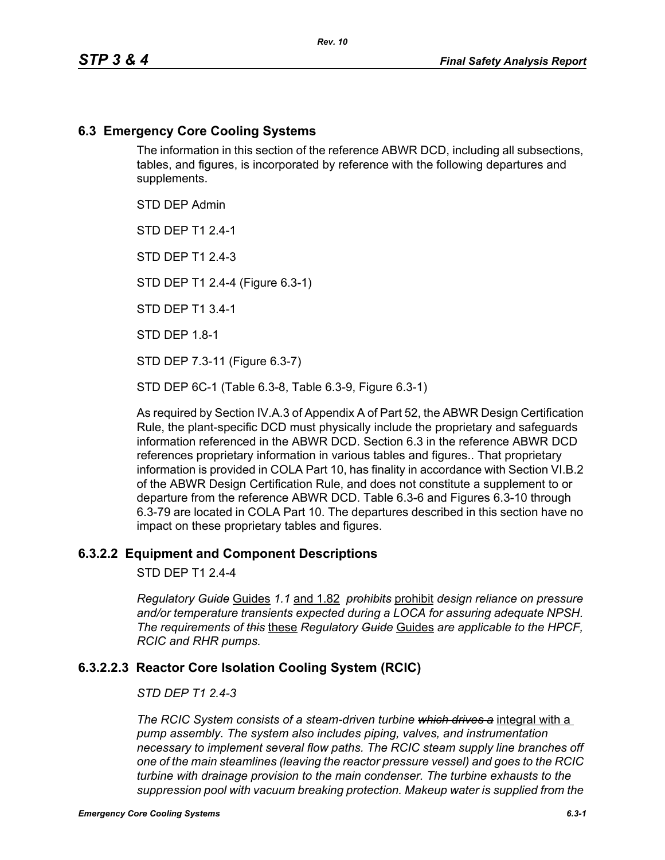## **6.3 Emergency Core Cooling Systems**

The information in this section of the reference ABWR DCD, including all subsections, tables, and figures, is incorporated by reference with the following departures and supplements.

STD DEP Admin

STD DEP T1 2.4-1

STD DFP T1 2 4-3

STD DEP T1 2.4-4 (Figure 6.3-1)

STD DEP T1 3.4-1

STD DEP 1.8-1

STD DEP 7.3-11 (Figure 6.3-7)

STD DEP 6C-1 (Table 6.3-8, Table 6.3-9, Figure 6.3-1)

As required by Section IV.A.3 of Appendix A of Part 52, the ABWR Design Certification Rule, the plant-specific DCD must physically include the proprietary and safeguards information referenced in the ABWR DCD. Section 6.3 in the reference ABWR DCD references proprietary information in various tables and figures.. That proprietary information is provided in COLA Part 10, has finality in accordance with Section VI.B.2 of the ABWR Design Certification Rule, and does not constitute a supplement to or departure from the reference ABWR DCD. Table 6.3-6 and Figures 6.3-10 through 6.3-79 are located in COLA Part 10. The departures described in this section have no impact on these proprietary tables and figures.

#### **6.3.2.2 Equipment and Component Descriptions**

STD DEP T1 2.4-4

*Regulatory Guide* Guides *1.1* and 1.82 *prohibits* prohibit *design reliance on pressure and/or temperature transients expected during a LOCA for assuring adequate NPSH. The requirements of this* these *Regulatory Guide* Guides *are applicable to the HPCF, RCIC and RHR pumps.*

## **6.3.2.2.3 Reactor Core Isolation Cooling System (RCIC)**

#### *STD DEP T1 2.4-3*

*The RCIC System consists of a steam-driven turbine which drives a* integral with a *pump assembly. The system also includes piping, valves, and instrumentation necessary to implement several flow paths. The RCIC steam supply line branches off one of the main steamlines (leaving the reactor pressure vessel) and goes to the RCIC turbine with drainage provision to the main condenser. The turbine exhausts to the suppression pool with vacuum breaking protection. Makeup water is supplied from the*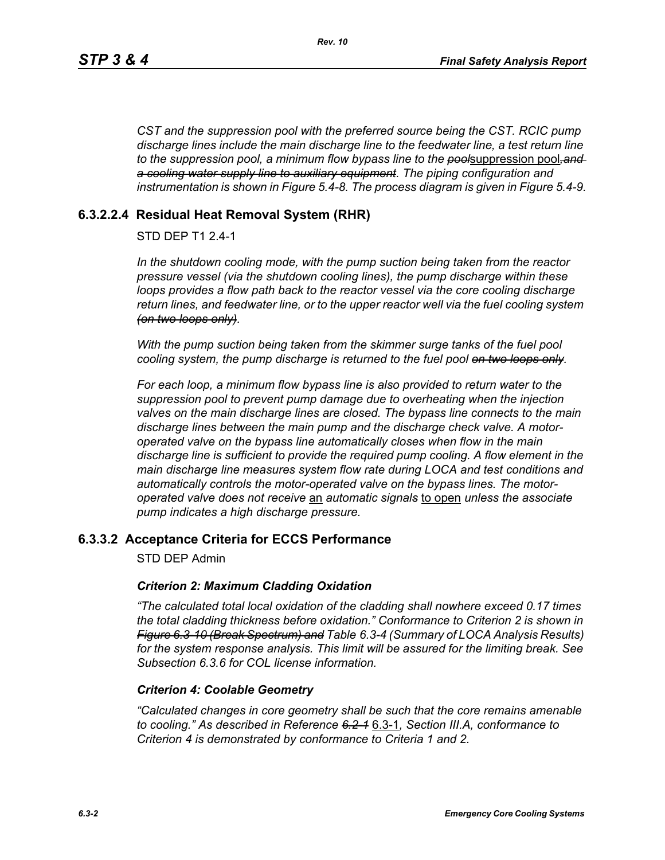*CST and the suppression pool with the preferred source being the CST. RCIC pump discharge lines include the main discharge line to the feedwater line, a test return line to the suppression pool, a minimum flow bypass line to the pool*suppression pool*,and a cooling water supply line to auxiliary equipment. The piping configuration and instrumentation is shown in Figure 5.4-8. The process diagram is given in Figure 5.4-9.*

# **6.3.2.2.4 Residual Heat Removal System (RHR)**

## STD DEP T1 2.4-1

*In the shutdown cooling mode, with the pump suction being taken from the reactor pressure vessel (via the shutdown cooling lines), the pump discharge within these loops provides a flow path back to the reactor vessel via the core cooling discharge return lines, and feedwater line, or to the upper reactor well via the fuel cooling system (on two loops only).*

*With the pump suction being taken from the skimmer surge tanks of the fuel pool cooling system, the pump discharge is returned to the fuel pool on two loops only.*

*For each loop, a minimum flow bypass line is also provided to return water to the suppression pool to prevent pump damage due to overheating when the injection valves on the main discharge lines are closed. The bypass line connects to the main discharge lines between the main pump and the discharge check valve. A motoroperated valve on the bypass line automatically closes when flow in the main discharge line is sufficient to provide the required pump cooling. A flow element in the main discharge line measures system flow rate during LOCA and test conditions and automatically controls the motor-operated valve on the bypass lines. The motoroperated valve does not receive* an *automatic signals* to open *unless the associate pump indicates a high discharge pressure.*

## **6.3.3.2 Acceptance Criteria for ECCS Performance**

STD DEP Admin

#### *Criterion 2: Maximum Cladding Oxidation*

*"The calculated total local oxidation of the cladding shall nowhere exceed 0.17 times the total cladding thickness before oxidation." Conformance to Criterion 2 is shown in Figure 6.3-10 (Break Spectrum) and Table 6.3-4 (Summary of LOCA Analysis Results) for the system response analysis. This limit will be assured for the limiting break. See Subsection [6.3.6](#page-2-0) for COL license information.*

#### *Criterion 4: Coolable Geometry*

*"Calculated changes in core geometry shall be such that the core remains amenable to cooling." As described in Reference 6.2-1* 6.3-1*, Section III.A, conformance to Criterion 4 is demonstrated by conformance to Criteria 1 and 2.*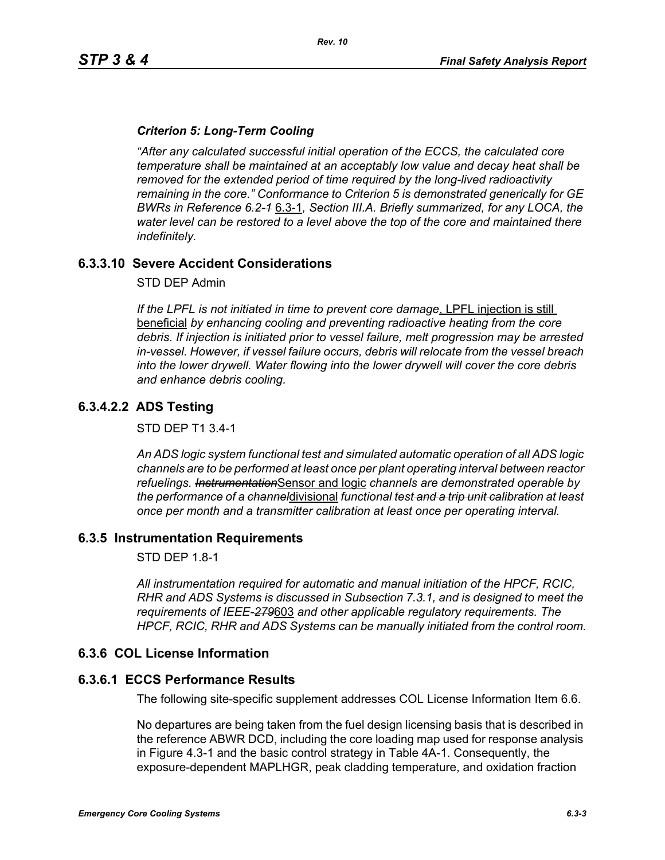### *Criterion 5: Long-Term Cooling*

*"After any calculated successful initial operation of the ECCS, the calculated core temperature shall be maintained at an acceptably low value and decay heat shall be removed for the extended period of time required by the long-lived radioactivity remaining in the core." Conformance to Criterion 5 is demonstrated generically for GE BWRs in Reference 6.2-1* 6.3-1*, Section III.A. Briefly summarized, for any LOCA, the water level can be restored to a level above the top of the core and maintained there indefinitely.*

### **6.3.3.10 Severe Accident Considerations**

STD DEP Admin

*If the LPFL is not initiated in time to prevent core damage*, LPFL injection is still beneficial *by enhancing cooling and preventing radioactive heating from the core debris. If injection is initiated prior to vessel failure, melt progression may be arrested in-vessel. However, if vessel failure occurs, debris will relocate from the vessel breach into the lower drywell. Water flowing into the lower drywell will cover the core debris and enhance debris cooling.*

## **6.3.4.2.2 ADS Testing**

STD DEP T1 3.4-1

*An ADS logic system functional test and simulated automatic operation of all ADS logic channels are to be performed at least once per plant operating interval between reactor refuelings. Instrumentation*Sensor and logic *channels are demonstrated operable by the performance of a channel*divisional *functional test and a trip unit calibration at least once per month and a transmitter calibration at least once per operating interval.*

#### **6.3.5 Instrumentation Requirements**

STD DEP 1.8-1

*All instrumentation required for automatic and manual initiation of the HPCF, RCIC, RHR and ADS Systems is discussed in Subsection 7.3.1, and is designed to meet the requirements of IEEE-279*603 *and other applicable regulatory requirements. The HPCF, RCIC, RHR and ADS Systems can be manually initiated from the control room.*

#### <span id="page-2-0"></span>**6.3.6 COL License Information**

#### **6.3.6.1 ECCS Performance Results**

The following site-specific supplement addresses COL License Information Item 6.6.

No departures are being taken from the fuel design licensing basis that is described in the reference ABWR DCD, including the core loading map used for response analysis in Figure 4.3-1 and the basic control strategy in Table 4A-1. Consequently, the exposure-dependent MAPLHGR, peak cladding temperature, and oxidation fraction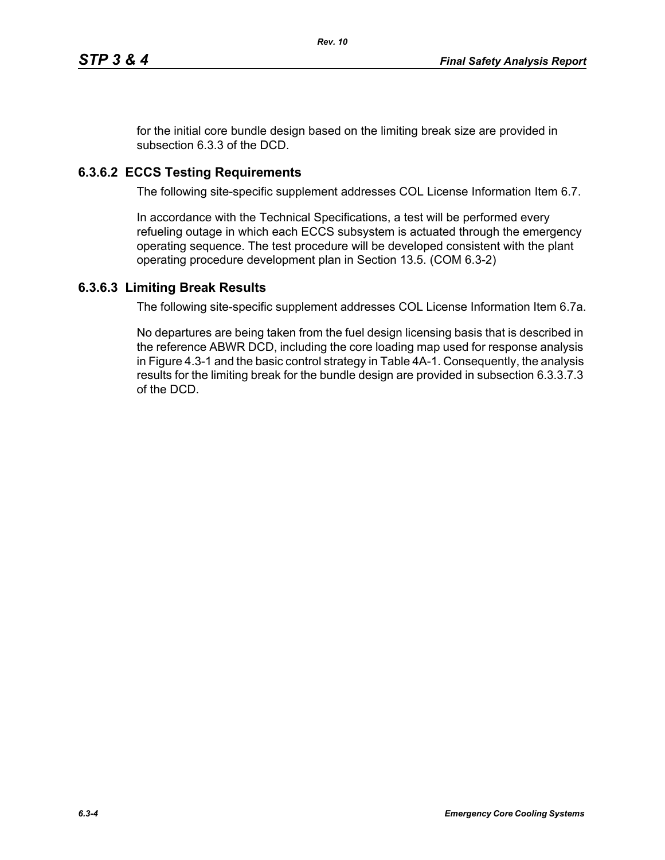for the initial core bundle design based on the limiting break size are provided in subsection 6.3.3 of the DCD.

# **6.3.6.2 ECCS Testing Requirements**

The following site-specific supplement addresses COL License Information Item 6.7.

In accordance with the Technical Specifications, a test will be performed every refueling outage in which each ECCS subsystem is actuated through the emergency operating sequence. The test procedure will be developed consistent with the plant operating procedure development plan in Section 13.5. (COM 6.3-2)

## **6.3.6.3 Limiting Break Results**

The following site-specific supplement addresses COL License Information Item 6.7a.

No departures are being taken from the fuel design licensing basis that is described in the reference ABWR DCD, including the core loading map used for response analysis in Figure 4.3-1 and the basic control strategy in Table 4A-1. Consequently, the analysis results for the limiting break for the bundle design are provided in subsection 6.3.3.7.3 of the DCD.